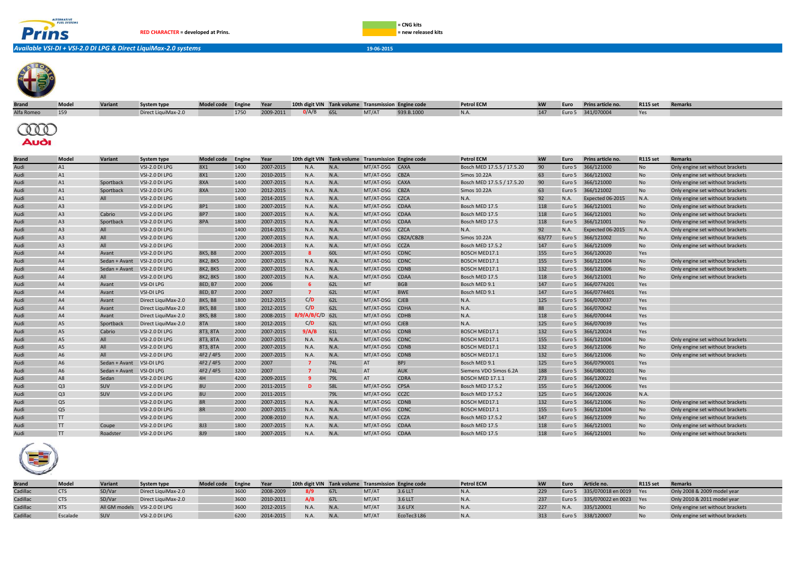



Direct Injection

*Available VSI-DI + VSI-2.0 DI LPG & Direct LiquiMax-2.0 systems* **19-06-2015**



| <b>Brand</b>       | Model | <b>Variant</b> | System type         | Model code Engine |      | Year      | 10th digit VIN Tank volume Transmission Engine code |      |                |            | <b>Petrol ECM</b>          | <b>kW</b> | Euro | Prins article no. | <b>R115 set</b> | <b>Remarks</b>                   |
|--------------------|-------|----------------|---------------------|-------------------|------|-----------|-----------------------------------------------------|------|----------------|------------|----------------------------|-----------|------|-------------------|-----------------|----------------------------------|
| Alfa Romeo         | 159   |                | Direct LiquiMax-2.0 |                   | 1750 | 2009-2011 | O/A/B                                               | 65L  | MT/AT          | 939.B.1000 | N.A.                       | 147       |      | Euro 5 341/070004 | Yes             |                                  |
| TOO<br><b>Audi</b> |       |                |                     |                   |      |           |                                                     |      |                |            |                            |           |      |                   |                 |                                  |
| <b>Brand</b>       | Model | Variant        | <b>System type</b>  | Model code Engine |      | Year      | 10th digit VIN Tank volume Transmission Engine code |      |                |            | <b>Petrol ECM</b>          | <b>kW</b> | Euro | Prins article no. | <b>R115 set</b> | Remarks                          |
| Audi               | A1    |                | VSI-2.0 DI LPG      | 8X1               | 1400 | 2007-2015 | N.A.                                                | N.A. | MT/AT-DSG CAXA |            | Bosch MED 17.5.5 / 17.5.20 | 90        |      | Euro 5 366/121000 | No              | Only engine set without brackets |
| Audi               | A1    |                | VSI-2.0 DI LPG      | 8X1               | 1200 | 2010-2015 | N.A.                                                | N.A. | MT/AT-DSG CBZA |            | Simos 10.22A               |           |      | Euro 5 366/121002 | No              | Only engine set without brackets |
| Audi               | A1    | Sportback      | VSI-2.0 DI LPG      | 8XA               | 1400 | 2007-2015 | N.A.                                                | N.A. | MT/AT-DSG CAXA |            | Bosch MED 17.5.5 / 17.5.20 |           |      | Euro 5 366/121000 | N <sub>o</sub>  | Only engine set without brackets |

| Audi | A1             | Sportback     | VSI-2.0 DI LPG      | 8XA            | 1400 | 2007-2015 | N.A.              | N.A. | MT/AT-DSG CAXA |             | Bosch MED 17.5.5 / 17.5.20 | 90    | Euro 5 | 366/121000       | N <sub>o</sub> | Only engine set without brackets |
|------|----------------|---------------|---------------------|----------------|------|-----------|-------------------|------|----------------|-------------|----------------------------|-------|--------|------------------|----------------|----------------------------------|
| Audi | A1             | Sportback     | VSI-2.0 DI LPG      | 8XA            | 1200 | 2012-2015 | N.A.              | N.A. | MT/AT-DSG      | <b>CBZA</b> | <b>Simos 10.22A</b>        | 63    | Euro 5 | 366/121002       | <b>No</b>      | Only engine set without brackets |
| Audi | A1             | All           | VSI-2.0 DI LPG      |                | 1400 | 2014-2015 | N.A.              | N.A. | MT/AT-DSG CZCA |             | N.A.                       | 92    | N.A.   | Expected 06-2015 | N.A.           | Only engine set without brackets |
| Audi | A3             |               | VSI-2.0 DI LPG      | 8P1            | 1800 | 2007-2015 | N.A.              | N.A. | MT/AT-DSG      | <b>CDAA</b> | Bosch MED 17.5             | 118   | Euro 5 | 366/121001       | No             | Only engine set without brackets |
| Audi | A3             | Cabrio        | VSI-2.0 DI LPG      | 8P7            | 1800 | 2007-2015 | N.A.              | N.A. | MT/AT-DSG CDAA |             | Bosch MED 17.5             | 118   | Euro 5 | 366/121001       | <b>No</b>      | Only engine set without brackets |
| Audi | A3             | Sportback     | VSI-2.0 DI LPG      | 8PA            | 1800 | 2007-2015 | N.A.              | N.A. | MT/AT-DSG      | <b>CDAA</b> | Bosch MED 17.5             | 118   | Euro 5 | 366/121001       | <b>No</b>      | Only engine set without brackets |
| Audi | A <sub>3</sub> | All           | VSI-2.0 DI LPG      |                | 1400 | 2014-2015 | N.A.              | N.A. | MT/AT-DSG CZCA |             | N.A.                       | 92    | N.A.   | Expected 06-2015 | N.A.           | Only engine set without brackets |
| Audi | A3             | All           | VSI-2.0 DI LPG      |                | 1200 | 2007-2015 | N.A.              | N.A. | MT/AT-DSG      | CBZA/CBZB   | Simos 10.22A               | 63/77 | Furo 5 | 366/121002       | <b>No</b>      | Only engine set without brackets |
| Audi | A3             | All           | VSI-2.0 DI LPG      |                | 2000 | 2004-2013 | N.A.              | N.A. | MT/AT-DSG CCZA |             | <b>Bosch MED 17.5.2</b>    | 147   | Euro 5 | 366/121009       | <b>No</b>      | Only engine set without brackets |
| Audi | A4             | Avant         | VSI-2.0 DI LPG      | 8K5, B8        | 2000 | 2007-2015 |                   | 60L  | MT/AT-DSG      | <b>CDNC</b> | BOSCH MED17.1              | 155   | Euro 5 | 366/120020       | <b>Yes</b>     |                                  |
| Audi | A4             | Sedan + Avant | VSI-2.0 DI LPG      | 8K2, 8K5       | 2000 | 2007-2015 | N.A.              | N.A. | MT/AT-DSG      | <b>CDNC</b> | BOSCH MED17.1              | 155   | Euro 5 | 366/121004       | <b>No</b>      | Only engine set without brackets |
| Audi | A4             | Sedan + Avant | VSI-2.0 DI LPG      | 8K2, 8K5       | 2000 | 2007-2015 | N.A.              | N.A. | MT/AT-DSG      | <b>CDNB</b> | <b>BOSCH MED17.1</b>       | 132   | Euro 5 | 366/121006       | <b>No</b>      | Only engine set without brackets |
| Audi | A4             | All           | VSI-2.0 DI LPG      | 8K2, 8K5       | 1800 | 2007-2015 | N.A.              | N.A. | MT/AT-DSG      | <b>CDAA</b> | Bosch MED 17.5             | 118   | Euro 5 | 366/121001       | No             | Only engine set without brackets |
| Audi | A4             | Avant         | <b>VSI-DI LPG</b>   | 8ED, B7        | 2000 | 2006      |                   | 62L  | <b>MT</b>      | <b>BGB</b>  | Bosch MED 9.1              | 147   | Euro 5 | 366/0774201      | Yes            |                                  |
| Audi | A4             | Avant         | <b>VSI-DI LPG</b>   | 8ED, B7        | 2000 | 2007      |                   | 62L  | MT/AT          | <b>BWE</b>  | Bosch MED 9.1              | 147   | Euro 5 | 366/0774401      | Yes            |                                  |
| Audi | A4             | Avant         | Direct LiquiMax-2.0 | 8K5, B8        | 1800 | 2012-2015 | C/D               | 62L  | MT/AT-DSG      | <b>CJEB</b> | N.A.                       | 125   | Euro 5 | 366/070037       | <b>Yes</b>     |                                  |
| Audi | A4             | Avant         | Direct LiquiMax-2.0 | 8K5, B8        | 1800 | 2012-2015 | C/D               | 62L  | MT/AT-DSG      | <b>CDHA</b> | N.A.                       | 88    | Euro 5 | 366/070042       | Yes            |                                  |
| Audi | A4             | Avant         | Direct LiquiMax-2.0 | 8K5, B8        | 1800 | 2008-2015 | $8/9/A/B/C/D$ 62L |      | MT/AT-DSG      | <b>CDHB</b> | N.A.                       | 118   | Euro 5 | 366/070044       | <b>Yes</b>     |                                  |
| Audi | A <sub>5</sub> | Sportback     | Direct LiquiMax-2.0 | 8TA            | 1800 | 2012-2015 | C/D               | 62L  | MT/AT-DSG CJEB |             | N.A.                       | 125   | Euro 5 | 366/070039       | <b>Yes</b>     |                                  |
| Audi | A <sub>5</sub> | Cabrio        | VSI-2.0 DI LPG      | 8T3, 8TA       | 2000 | 2007-2015 | 9/A/B             | 61L  | MT/AT-DSG CDNB |             | BOSCH MED17.1              | 132   | Euro 5 | 366/120024       | Yes            |                                  |
| Audi | A <sub>5</sub> | All           | VSI-2.0 DI LPG      | 8T3, 8TA       | 2000 | 2007-2015 | N.A.              | N.A. | MT/AT-DSG CDNC |             | BOSCH MED17.1              | 155   | Euro 5 | 366/121004       | No             | Only engine set without brackets |
| Audi | A <sub>5</sub> | All           | VSI-2.0 DI LPG      | 8T3, 8TA       | 2000 | 2007-2015 | N.A.              | N.A. | MT/AT-DSG      | <b>CDNB</b> | <b>BOSCH MED17.1</b>       | 132   | Euro 5 | 366/121006       | No             | Only engine set without brackets |
| Audi | A <sub>6</sub> | All           | VSI-2.0 DI LPG      | 4F2 / 4F5      | 2000 | 2007-2015 | N.A.              | N.A. | MT/AT-DSG CDNB |             | BOSCH MED17.1              | 132   | Euro 5 | 366/121006       | <b>No</b>      | Only engine set without brackets |
| Audi | A <sub>6</sub> | Sedan + Avant | VSI-DI LPG          | 4F2 / 4F5      | 2000 | 2007      |                   | 74L  | AT             | <b>BPJ</b>  | Bosch MED 9.1              | 125   | Euro 5 | 366/0790001      | Yes            |                                  |
| Audi | A <sub>6</sub> | Sedan + Avant | VSI-DI LPG          | 4F2 / 4F5      | 3200 | 2007      |                   | 74L  | AT             | <b>AUK</b>  | Siemens VDO Simos 6.2A     | 188   | Euro 5 | 366/0800201      | <b>No</b>      |                                  |
| Audi | A8             | Sedan         | VSI-2.0 DI LPG      | 4H             | 4200 | 2009-2015 | <b>q</b>          | 79L  | AT             | <b>CDRA</b> | <b>BOSCH MED 17.1.1</b>    | 273   | Euro 5 | 366/120022       | Yes            |                                  |
| Audi | Q <sub>3</sub> | <b>SUV</b>    | VSI-2.0 DI LPG      | 8 <sub>U</sub> | 2000 | 2011-2015 | D                 | 58L  | MT/AT-DSG      | <b>CPSA</b> | <b>Bosch MED 17.5.2</b>    | 155   | Euro 5 | 366/120006       | <b>Yes</b>     |                                  |
| Audi | Q <sub>3</sub> | SUV           | VSI-2.0 DI LPG      | 8U             | 2000 | 2011-2015 |                   | 79L  | MT/AT-DSG      | CCZC        | <b>Bosch MED 17.5.2</b>    | 125   | Euro 5 | 366/120026       | N.A.           |                                  |
| Audi | Q <sub>5</sub> |               | VSI-2.0 DI LPG      | <b>8R</b>      | 2000 | 2007-2015 | N.A.              | N.A. | MT/AT-DSG      | <b>CDNB</b> | BOSCH MED17.1              | 132   | Euro 5 | 366/121006       | No             | Only engine set without brackets |
| Audi | Q <sub>5</sub> |               | VSI-2.0 DI LPG      | 8R             | 2000 | 2007-2015 | N.A.              | N.A. | MT/AT-DSG      | <b>CDNC</b> | <b>BOSCH MED17.1</b>       | 155   | Euro 5 | 366/121004       | <b>No</b>      | Only engine set without brackets |
| Audi | <b>TT</b>      |               | VSI-2.0 DI LPG      |                | 2000 | 2008-2010 | N.A.              | N.A. | MT/AT-DSG CCZA |             | <b>Bosch MED 17.5.2</b>    | 147   | Euro 5 | 366/121009       | <b>No</b>      | Only engine set without brackets |
| Audi | <b>TT</b>      | Coupe         | VSI-2.0 DI LPG      | 8J3            | 1800 | 2007-2015 | N.A.              | N.A. | MT/AT-DSG      | <b>CDAA</b> | Bosch MED 17.5             | 118   | Euro 5 | 366/121001       | <b>No</b>      | Only engine set without brackets |
| Audi | <b>TT</b>      | Roadster      | VSI-2.0 DI LPG      | 819            | 1800 | 2007-2015 | N.A.              | N.A. | MT/AT-DSG      | <b>CDAA</b> | Bosch MED 17.5             | 118   | Euro 5 | 366/121001       | <b>No</b>      | Only engine set without brackets |



| <b>Brand</b> | Model      | Variant                      | <b>System type</b>  | Model code Engine |      | Year      | 10th digit VIN Tank volume Transmission Engine code |      |       |             | <b>Petrol ECM</b> |     | Euro | Article no.               | <b>R115 set</b> | <b>Remarks</b>                   |
|--------------|------------|------------------------------|---------------------|-------------------|------|-----------|-----------------------------------------------------|------|-------|-------------|-------------------|-----|------|---------------------------|-----------------|----------------------------------|
| Cadillac     | <b>CTS</b> | SD/Var                       | Direct LiquiMax-2.0 |                   | 3600 | 2008-2009 |                                                     |      | MT/AT | 3.6 LLT     |                   |     |      | Euro 5 335/070018 en 0019 | <b>P</b> Yes    | Only 2008 & 2009 model year      |
| Cadillac     | <b>CTS</b> | SD/Var                       | Direct LiquiMax-2.0 |                   | 3600 | 2010-2011 | A/B                                                 |      | MT/AT | 3.6 LLT     |                   |     |      | Euro 5 335/070022 en 0023 | <b>Yes</b>      | Only 2010 & 2011 model year      |
| Cadillac     | <b>XTS</b> | All GM models VSI-2.0 DI LPG |                     |                   | 3600 | 2012-2015 | N.A.                                                | N.A. | MT/AT | 3.6 LFX     |                   | 227 | N.A  | 335/120001                |                 | Only engine set without brackets |
| Cadillac     | Escalade   | SUV                          | VSI-2.0 DI LPG      |                   | 6200 | 2014-2015 |                                                     | N.A. | MT/AT | EcoTec3 L86 | N.A               | 313 |      | Euro 5 338/120007         |                 | Only engine set without brackets |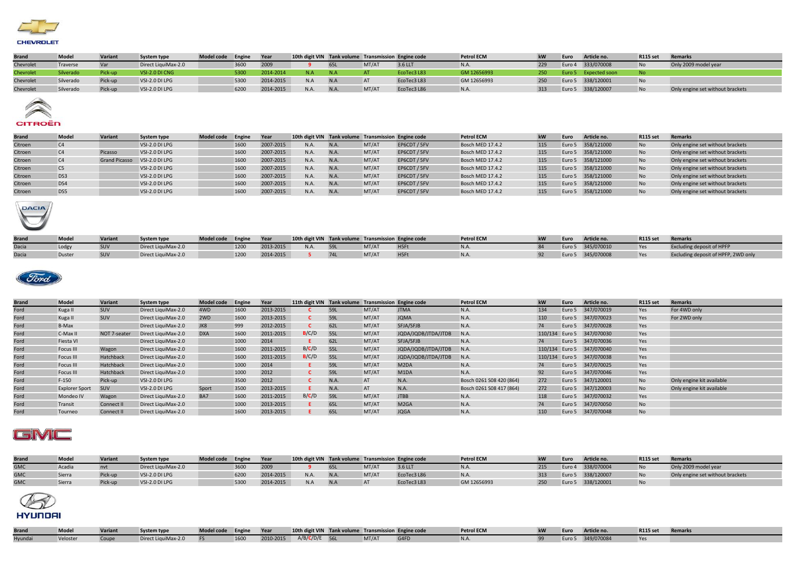

| <b>Brand</b> | <b>Model</b> | Variant | <b>System type</b>  | Model code Engine |      | Year      | 10th digit VIN Tank volume Transmission Engine code |             |       |             | <b>Petrol ECM</b> | kW   | Euro | Article no.          | <b>R115 set</b> | Remarks                          |
|--------------|--------------|---------|---------------------|-------------------|------|-----------|-----------------------------------------------------|-------------|-------|-------------|-------------------|------|------|----------------------|-----------------|----------------------------------|
| Chevrolet    | Traverse     |         | Direct LiquiMax-2.0 |                   | 3600 | 2009      |                                                     | 65L         | MT/AT | 3.6 LLT     | N.A.              | 229  |      | Euro 4 333/070008    | <b>No</b>       | Only 2009 model year             |
| Chevrolet    | Silverado    | Pick-un | VSI-2.0 DI CNG      |                   | 5300 | 2014-2014 |                                                     |             |       | EcoTec3 L83 | GM 12656993       | 250' |      | Euro 5 Expected soon |                 |                                  |
| Chevrolet    | Silverado    | Pick-up | VSI-2.0 DI LPG      |                   | 5300 | 2014-2015 | N.A                                                 | N.A         | AT    | EcoTec3 L83 | GM 12656993       | 250  |      | Euro 5 338/120001    | <b>No</b>       |                                  |
| Chevrolet    | Silverado    | Pick-up | VSI-2.0 DI LPG      |                   | 6200 | 2014-2015 |                                                     | <b>N.A.</b> | MT/AT | EcoTec3 L86 | N.A.              | 313  |      | Euro 5 338/120007    | <b>No</b>       | Only engine set without brackets |



## CITROËN

| <b>Brand</b> | Model          | Variant              | System type    | Model code Engine |      | Year      | 10th digit VIN Tank volume Transmission Engine code |      |       |              | <b>Petrol ECM</b> | kW  | Euro | Article no.       | <b>R115 set</b> | <b>Remarks</b>                   |
|--------------|----------------|----------------------|----------------|-------------------|------|-----------|-----------------------------------------------------|------|-------|--------------|-------------------|-----|------|-------------------|-----------------|----------------------------------|
| Citroen      | C <sub>4</sub> |                      | VSI-2.0 DI LPG |                   | 1600 | 2007-2015 | N.A.                                                | N.A. | MT/AT | EP6CDT / 5FV | Bosch MED 17.4.2  | 115 |      | Euro 5 358/121000 | <b>No</b>       | Only engine set without brackets |
| Citroen      | C <sub>4</sub> | Picasso              | VSI-2.0 DI LPG |                   | 1600 | 2007-2015 | N.A.                                                | N.A. | MT/AT | EP6CDT / 5FV | Bosch MED 17.4.2  | 115 |      | Euro 5 358/121000 | <b>No</b>       | Only engine set without brackets |
| Citroen      | C <sub>4</sub> | <b>Grand Picasso</b> | VSI-2.0 DI LPG |                   | 1600 | 2007-2015 | N.A.                                                | N.A. | MT/AT | EP6CDT / 5FV | Bosch MED 17.4.2  | 115 |      | Euro 5 358/121000 | <b>No</b>       | Only engine set without brackets |
| Citroen      | C <sub>5</sub> |                      | VSI-2.0 DI LPG |                   | 1600 | 2007-2015 | N.A.                                                | N.A. | MT/AT | EP6CDT / 5FV | Bosch MED 17.4.2  | 115 |      | Euro 5 358/121000 | <b>No</b>       | Only engine set without brackets |
| Citroen      | DS3            |                      | VSI-2.0 DI LPG |                   | 1600 | 2007-2015 | N.A.                                                | N.A. | MT/AT | EP6CDT / 5FV | Bosch MED 17.4.2  | 115 |      | Euro 5 358/121000 | <b>No</b>       | Only engine set without brackets |
| Citroen      | DS4            |                      | VSI-2.0 DI LPG |                   | 1600 | 2007-2015 | N.A.                                                | N.A. | MT/AT | EP6CDT / 5FV | Bosch MED 17.4.2  | 115 |      | Euro 5 358/121000 | <b>No</b>       | Only engine set without brackets |
| Citroen      | DS5            |                      | VSI-2.0 DI LPG |                   | 1600 | 2007-2015 | N.A.                                                | N.A. | MT/AT | EP6CDT / 5FV | Bosch MED 17.4.2  | 115 |      | Euro 5 358/121000 | <b>No</b>       | Only engine set without brackets |



| <b>Brand</b> | Mode   | <b>Variant</b> | <b>System type</b>  | Model code Engine |      | Year      |      |       | 10th digit VIN Tank volume Transmission Engine code | <b>Petrol ECM</b> | Euro   | Article no.       | <b>R115 set</b> | Remarks                             |
|--------------|--------|----------------|---------------------|-------------------|------|-----------|------|-------|-----------------------------------------------------|-------------------|--------|-------------------|-----------------|-------------------------------------|
| Dacia        | Lodg,  |                | Direct LiquiMax-2.0 |                   | 1200 | 2013-2015 | N.A. | MT/AT | H <sub>5Ft</sub>                                    |                   | Euro 5 | 345/070010        |                 | Excluding deposit of HPFP           |
| Dacia        | Duster |                | Direct LiquiMax-2.0 |                   | 1200 | 2014-2015 |      | MT/AT | H <sub>5Ft</sub>                                    |                   |        | Euro 5 345/070008 |                 | Excluding deposit of HPFP, 2WD only |



| <b>Brand</b> | <b>Model</b>          | Variant      | System type         | <b>Model code</b> | Engine | Year      | 11th digit VIN Tank volume Transmission Engine code |             |       |                               | <b>Petrol ECM</b>        | kW  | Euro   | Article no.               | <b>R115 set</b> | <b>Remarks</b>            |
|--------------|-----------------------|--------------|---------------------|-------------------|--------|-----------|-----------------------------------------------------|-------------|-------|-------------------------------|--------------------------|-----|--------|---------------------------|-----------------|---------------------------|
| Ford         | Kuga II               | SUV          | Direct LiquiMax-2.0 | 4WD               | 1600   | 2013-2015 |                                                     | 59L         | MT/AT | <b>JTMA</b>                   | N.A.                     | 134 | Euro 5 | 347/070019                | Yes             | For 4WD only              |
| Ford         | Kuga II               | <b>SUV</b>   | Direct LiquiMax-2.0 | 2WD               | 1600   | 2013-2015 |                                                     | 59L         | MT/AT | <b>JOMA</b>                   | N.A.                     | 110 | Euro 5 | 347/070023                | Yes             | For 2WD only              |
| Ford         | B-Max                 |              | Direct LiquiMax-2.0 | JK8               | 999    | 2012-2015 |                                                     | 62L         | MT/AT | SFJA/SFJB                     | N.A.                     | 74  | Euro 5 | 347/070028                | Yes             |                           |
| Ford         | C-Max II              | NOT 7-seater | Direct LiquiMax-2.0 | <b>DXA</b>        | 1600   | 2011-2015 | B/C/D                                               | 55L         | MT/AT | JQDA/JQDB/JTDA/JTDB           | N.A.                     |     |        | 110/134 Euro 5 347/070030 | Yes             |                           |
| Ford         | Fiesta VI             |              | Direct LiquiMax-2.0 |                   | 1000   | 2014      |                                                     | 62L         | MT/AT | SFJA/SFJB                     | N.A.                     | 74  |        | Euro 5 347/070036         | Yes             |                           |
| Ford         | Focus III             | Wagon        | Direct LiquiMax-2.0 |                   | 1600   | 2011-2015 | B/C/D                                               | 55L         | MT/AT | JQDA/JQDB/JTDA/JTDB           | N.A.                     |     |        | 110/134 Euro 5 347/070040 | Yes             |                           |
| Ford         | Focus III             | Hatchback    | Direct LiquiMax-2.0 |                   | 1600   | 2011-2015 | B/C/D                                               | 55L         | MT/AT | JQDA/JQDB/JTDA/JTDB           | N.A.                     |     |        | 110/134 Euro 5 347/070038 | Yes             |                           |
| Ford         | Focus III             | Hatchback    | Direct LiquiMax-2.0 |                   | 1000   | 2014      |                                                     | 59L         | MT/AT | M <sub>2</sub> D <sub>A</sub> | N.A.                     | 74  |        | Euro 5 347/070025         | Yes             |                           |
| Ford         | Focus III             | Hatchback    | Direct LiquiMax-2.0 |                   | 1000   | 2012      |                                                     | 59L         | MT/AT | M <sub>1</sub> DA             | N.A.                     | 92  |        | Euro 5 347/070046         | Yes             |                           |
| Ford         | $F-150$               | Pick-up      | VSI-2.0 DI LPG      |                   | 3500   | 2012      |                                                     | <b>N.A.</b> | AT    | N.A.                          | Bosch 0261 S08 420 (864) | 272 | Euro 5 | 347/120001                | No              | Only engine kit available |
| Ford         | <b>Explorer Sport</b> | <b>SUV</b>   | VSI-2.0 DI LPG      | Sport             | 3500   | 2013-2015 |                                                     | N.A.        | AT    | N.A.                          | Bosch 0261 S08 417 (864) | 272 | Euro 5 | 347/120003                | <b>No</b>       | Only engine kit available |
| Ford         | Mondeo IV             | Wagon        | Direct LiquiMax-2.0 | BA7               | 1600   | 2011-2015 | B/C/D                                               | 59L         | MT/AT | <b>JTBB</b>                   | N.A.                     | 118 | Euro 5 | 347/070032                | Yes             |                           |
| Ford         | Transit               | Connect II   | Direct LiquiMax-2.0 |                   | 1000   | 2013-2015 |                                                     | 65L         | MT/AT | M <sub>2</sub> GA             | N.A.                     | 74  |        | Euro 5 347/070050         | No              |                           |
| Ford         | Tourneo               | Connect II   | Direct LiquiMax-2.0 |                   | 1600   | 2013-2015 |                                                     | 65L         | MT/AT | <b>JQGA</b>                   | N.A.                     | 110 |        | Euro 5 347/070048         | No              |                           |

## GMC

| <b>Brand</b> | Model  | Varian  | <b>System type</b>  | Model code Engine |      | <b>Year</b> |      |     |       | 10th digit VIN Tank volume Transmission Engine code | <b>Petrol ECM</b> | Euro   | Article no.       | <b>R115 set</b> | <b>Remarks</b>                   |
|--------------|--------|---------|---------------------|-------------------|------|-------------|------|-----|-------|-----------------------------------------------------|-------------------|--------|-------------------|-----------------|----------------------------------|
| <b>GMC</b>   | Acadia |         | Direct LiquiMax-2.0 |                   | 3600 | 2009        |      |     | MT/AT | 3.6 LLT                                             |                   |        | Euro 4 338/070004 |                 | Only 2009 model year             |
| <b>GMC</b>   | Sierra | Pick-up | VSI-2.0 DI LPG      |                   | 6200 | 2014-2015   | N.A. |     | MT/AT | EcoTec3 L86                                         |                   |        | Euro 5 338/120007 |                 | Only engine set without brackets |
| <b>GMC</b>   | Sierra | Pick-up | VSI-2.0 DI LPG      |                   | 5300 | 2014-2015   |      | N.A | AT    | EcoTec3 L83                                         | GM 12656993       | Euro 5 | 338/120001        |                 |                                  |



| <b>Brand</b> | Model    | Variant | System type         | Model code Engine Year |      | 10th digit VIN Tank volume Transmission Engine code |       |      | <b>Petrol ECM</b> | <b>kW</b> | Euro   | Article no. | <b>R115 set</b> | Remarks |
|--------------|----------|---------|---------------------|------------------------|------|-----------------------------------------------------|-------|------|-------------------|-----------|--------|-------------|-----------------|---------|
| Hyundai      | Veloster |         | Direct LiquiMax-2.0 |                        | 1600 | 2010-2015 A/B/C/D/E 56L                             | MT/AT | G4FD |                   |           | Euro 5 | 349/070084  |                 |         |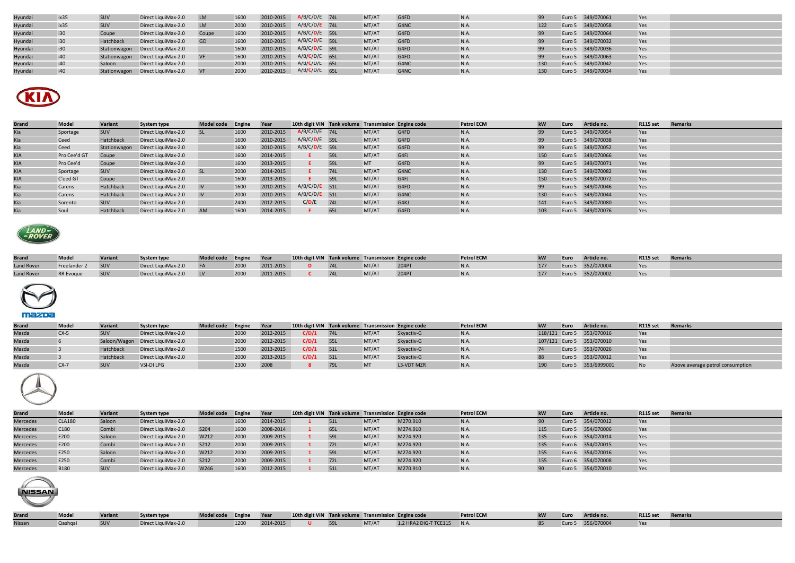| Hyundai | ix35 | SUV              | Direct LiquiMax-2.0              | <b>LM</b> | 1600 | 2010-2015 | $A/B/C/D/E$ 74L | MT/AT | G4FD | N.A. |     | Euro 5 349/070061 | Yes |  |
|---------|------|------------------|----------------------------------|-----------|------|-----------|-----------------|-------|------|------|-----|-------------------|-----|--|
| Hyundai | ix35 | <b>SUV</b>       | Direct LiquiMax-2.0              | <b>LM</b> | 2000 | 2010-2015 | $A/B/C/D/E$ 74L | MT/AT | G4NC | N.A. | 122 | Euro 5 349/070058 | Yes |  |
| Hyundai | i30  | Coupe            | Direct LiquiMax-2.0              | Coupe     | 1600 | 2010-2015 | $A/B/C/D/E$ 59L | MT/AT | G4FD | N.A. |     | Euro 5 349/070064 | Yes |  |
| Hyundai | i30  | <b>Hatchback</b> | Direct LiquiMax-2.0              | GD        | 1600 | 2010-2015 | $A/B/C/D/E$ 59L | MT/AT | G4FD | N.A. |     | Euro 5 349/070032 | Yes |  |
| Hyundai | i30  |                  | Stationwagon Direct LiquiMax-2.0 |           | 1600 | 2010-2015 | $A/B/C/D/E$ 59L | MT/AT | G4FD | N.A. |     | Euro 5 349/070036 | Yes |  |
| Hyundai | i40  |                  | Stationwagon Direct LiquiMax-2.0 |           | 1600 | 2010-2015 | $A/B/C/D/E$ 65L | MT/AT | G4FD | N.A. |     | Euro 5 349/070063 | Yes |  |
| Hyundai | i40  | Saloon           | Direct LiquiMax-2.0              |           | 2000 | 2010-2015 | $A/B/C/D/E$ 65L | MT/AT | G4NC | N.A. | 130 | Euro 5 349/070042 | Yes |  |
| Hyundai | i40  | Stationwagon     | Direct LiquiMax-2.0              |           | 2000 | 2010-2015 | $A/B/C/D/E$ 65L | MT/AT | G4NC | N.A. | 130 | Euro 5 349/070034 | Yes |  |



| <b>Brand</b> | <b>Model</b> | Variant      | <b>System type</b>  | Model code Engine |      | Year      | 10th digit VIN Tank volume Transmission Engine code |     |           |                  | <b>Petrol ECM</b> | <b>kW</b> | Euro | Article no.       | <b>R115 set</b> | <b>Remarks</b> |
|--------------|--------------|--------------|---------------------|-------------------|------|-----------|-----------------------------------------------------|-----|-----------|------------------|-------------------|-----------|------|-------------------|-----------------|----------------|
| Kia          | Sportage     | <b>SUV</b>   | Direct LiquiMax-2.0 |                   | 1600 | 2010-2015 | $A/B/C/D/E$ 74L                                     |     | MT/AT     | G4FD             | N.A.              | 99        |      | Euro 5 349/070054 | Yes             |                |
| Kia          | Ceed         | Hatchback    | Direct LiquiMax-2.0 |                   | 1600 | 2010-2015 | A/B/C/D/E 59L                                       |     | MT/AT     | G4FD             | N.A.              | 99        |      | Euro 5 349/070038 | Yes             |                |
| Kia          | Ceed         | Stationwagon | Direct LiquiMax-2.0 |                   | 1600 | 2010-2015 | A/B/C/D/E 59L                                       |     | MT/AT     | G4FD             | N.A.              | 99        |      | Euro 5 349/070052 | Yes             |                |
| <b>KIA</b>   | Pro Cee'd GT | Coupe        | Direct LiquiMax-2.0 |                   | 1600 | 2014-2015 |                                                     | 59L | MT/AT     | G4FJ             | N.A.              | 150       |      | Euro 5 349/070066 | Yes             |                |
| <b>KIA</b>   | Pro Cee'd    | Coupe        | Direct LiquiMax-2.0 |                   | 1600 | 2013-2015 |                                                     | 59L | <b>MT</b> | G4FD             | N.A.              | 99        |      | Euro 5 349/070071 | Yes             |                |
| <b>KIA</b>   | Sportage     | <b>SUV</b>   | Direct LiquiMax-2.0 | <b>SL</b>         | 2000 | 2014-2015 |                                                     | 74L | MT/AT     | G4NC             | N.A.              | 130       |      | Euro 5 349/070082 | Yes             |                |
| <b>KIA</b>   | C'eed GT     | Coupe        | Direct LiquiMax-2.0 |                   | 1600 | 2013-2015 |                                                     | 59L | MT/AT     | G <sub>4FJ</sub> | N.A.              | 150       |      | Euro 5 349/070072 | Yes             |                |
| Kia          | Carens       | Hatchback    | Direct LiquiMax-2.0 | <b>IV</b>         | 1600 | 2010-2015 | $A/B/C/D/E$ 51L                                     |     | MT/AT     | G4FD             | N.A.              | 99        |      | Euro 5 349/070046 | Yes             |                |
| Kia          | Carens       | Hatchback    | Direct LiquiMax-2.0 | <b>IV</b>         | 2000 | 2010-2015 | $A/B/C/D/E$ 51L                                     |     | MT/AT     | G4NC             | N.A.              | 130       |      | Euro 5 349/070044 | Yes             |                |
| Kia          | Sorento      | <b>SUV</b>   | Direct LiquiMax-2.0 |                   | 2400 | 2012-2015 | C/D/E                                               | 74L | MT/AT     | G4KJ             | N.A.              | 141       |      | Euro 5 349/070080 | Yes             |                |
|              | Soul         | Hatchback    | Direct LiquiMax-2.0 | <b>AM</b>         | 1600 | 2014-2015 |                                                     | 65L | MT/AT     | G4FD             | N.A.              | 103       |      | Euro 5 349/070076 | Yes             |                |



| <b>Brand</b>      | Mode <sup>'</sup> | Variant    | <b>System type</b>  | Model code Engine |      | Year      | 10th digit VIN Tank volume Transmission Engine code |     |       |       | <b>Petrol ECM</b> | kW | Euro   | Article no. | <b>R115 set</b> | Remarks |
|-------------------|-------------------|------------|---------------------|-------------------|------|-----------|-----------------------------------------------------|-----|-------|-------|-------------------|----|--------|-------------|-----------------|---------|
| <b>Land Rover</b> | Freelander 2      | <b>SUV</b> | Direct LiquiMax-2.0 |                   | 2000 | 2011-2015 |                                                     | 74L | MT/AT | 204PT |                   |    | Euro 5 | 352/070004  | Yes             |         |
| <b>Land Rover</b> | <b>RR</b> Evoque  | SUV        | Direct LiquiMax-2.0 | <b>LV</b>         | 2000 | 2011-2015 |                                                     | 74L | MT/AT | 204PT |                   |    | Euro 5 | 352/070002  | Yes             |         |



| <b>Brand</b> | <b>Mode</b> | Variant          | System type                      | <b>Model code</b> | Engine | <b>Year</b> |       | 10th digit VIN Tank volume Transmission Engine code |       |            | <b>Petrol ECM</b> | Euro | Article no.               | <b>R115 set</b> | <b>Remarks</b>                   |
|--------------|-------------|------------------|----------------------------------|-------------------|--------|-------------|-------|-----------------------------------------------------|-------|------------|-------------------|------|---------------------------|-----------------|----------------------------------|
| Mazda        | $CX-5$      |                  | Direct LiquiMax-2.0              |                   | 2000   | 2012-2015   | C/D/1 | 74L                                                 | MT/AT | Skyactiv-G | N.A.              |      | 118/121 Euro 5 353/070016 | Yes             |                                  |
| Mazda        |             |                  | Saloon/Wagon Direct LiquiMax-2.0 |                   | 2000   | 2012-2015   | C/D/1 | 55L                                                 | MT/AT | Skyactiv-G | N.A.              |      | 107/121 Euro 5 353/070010 | Yes             |                                  |
| Mazda        |             | Hatchback        | Direct LiquiMax-2.0              |                   | 1500   | 2013-2015   | C/D/1 | 51L                                                 | MT/AT | Skyactiv-G | N.A.              |      | Euro 5 353/070026         | Yes             |                                  |
| Mazda        |             | <b>Hatchback</b> | Direct LiquiMax-2.0              |                   | 2000   | 2013-2015   | C/D/1 | 51L                                                 | MT/AT | Skyactiv-G | N.A.              |      | Euro 5 353/070012         | Yes             |                                  |
| Mazda        | $CX-7$      | C <sub>1</sub> N | VSI-DI LPG                       |                   | 2300   | 2008        |       |                                                     | MT    | L3-VDT MZR |                   |      | Euro 5 353/6999001        | <b>No</b>       | Above average petrol consumption |



**NISSAN** 

| <b>Brand</b>    | Model            | Variant | System type         | Model code Engine |      | Year      | 10th digit VIN Tank volume Transmission Engine code |            |       |          | <b>Petrol ECM</b> | <b>kW</b> | Euro | Article no.       | <b>R115 set</b> | Remarks |
|-----------------|------------------|---------|---------------------|-------------------|------|-----------|-----------------------------------------------------|------------|-------|----------|-------------------|-----------|------|-------------------|-----------------|---------|
| <b>Mercedes</b> | <b>CLA180</b>    | Saloon  | Direct LiquiMax-2.0 |                   | 1600 | 2014-2015 |                                                     |            | MT/AT | M270.910 | N.A.              |           |      | Euro 5 354/070012 | Yes             |         |
| <b>Mercedes</b> | C <sub>180</sub> | Combi   | Direct LiquiMax-2.0 | S204              | 1600 | 2008-2014 |                                                     |            | MT/AT | M274.910 | N.A.              | 115       |      | Euro 5 354/070006 | Yes             |         |
| <b>Mercedes</b> | E200             | Saloon  | Direct LiquiMax-2.0 | W212              | 2000 | 2009-2015 |                                                     | <b>591</b> | MT/AT | M274.920 | <b>N.A.</b>       | 135       |      | Euro 6 354/070014 | Yes             |         |
| <b>Mercedes</b> | E200             | Combi   | Direct LiquiMax-2.0 | S212              | 2000 | 2009-2015 |                                                     |            | MT/AT | M274.920 | <b>N.A.</b>       | 135       |      | Euro 6 354/070015 | Yes             |         |
| <b>Mercedes</b> | E250             | Saloon  | Direct LiquiMax-2.0 | W212              | 2000 | 2009-2015 |                                                     |            | MT/AT | M274.920 | N.A.              | 155       |      | Euro 6 354/070016 | Yes             |         |
| <b>Mercedes</b> | E250             | Combi   | Direct LiquiMax-2.0 | S212              | 2000 | 2009-2015 |                                                     |            | MT/AT | M274.920 | <b>N.A.</b>       | 155       |      | Euro 6 354/070008 | Yes             |         |
| <b>Mercedes</b> | <b>B180</b>      | SUV     | Direct LiquiMax-2.0 | W246              | 1600 | 2012-2015 |                                                     |            | MT/AT | M270.910 | N.A.              |           |      | Euro 5 354/070010 | Yes             |         |

Brand Model Variant System type Model code Engine Year 10th digit VIN Tank volume Transmission Engine code Petrol ECM Netrol ECM kW Euro Article no. R115 set Remarks

Nissan Qashqai SUV Direct LiquiMax-2.0 1200 2014-2015 **U** 59L MT/AT 1.2 HRA2 DiG-T TCE115 N.A. 85 Euro 5 356/070004 Yes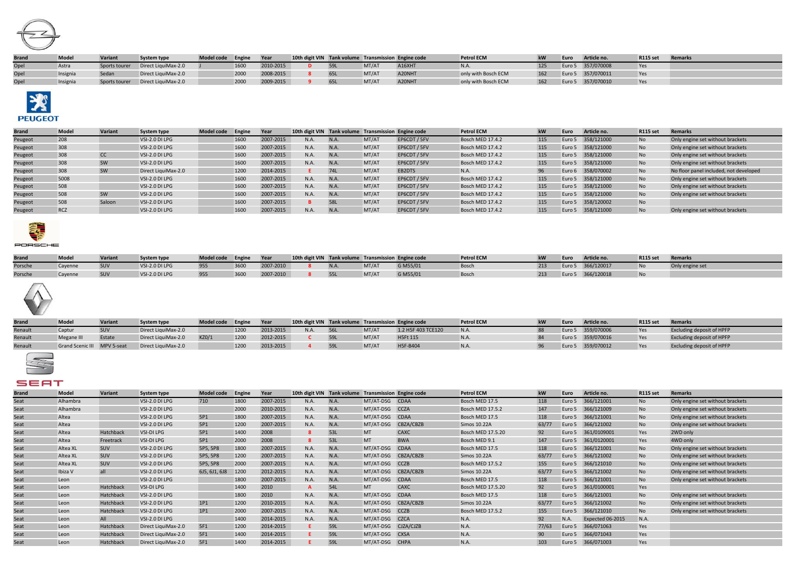

| <b>Brand</b> | Model | <b>Variant</b> | <b>System type</b>  | Model code Engine |      | Year      | 10th digit VIN Tank volume Transmission Engine code |            |       |        | <b>Petrol ECM</b>   |     | Euro   | Article no.       | <b>R115 set</b> | Remarks |
|--------------|-------|----------------|---------------------|-------------------|------|-----------|-----------------------------------------------------|------------|-------|--------|---------------------|-----|--------|-------------------|-----------------|---------|
| Opel         | Astra | Sports tourer  | Direct LiquiMax-2.0 |                   | 1600 | 2010-2015 |                                                     | <b>59L</b> | MT/AT | A16XHT |                     |     | Euro 5 | 357/070008        | Yes             |         |
| Opel         |       |                | Direct LiquiMax-2.0 |                   | 2000 | 2008-2015 |                                                     |            | MT/AT | A20NHT | only with Bosch ECM | 162 |        | Euro 5 357/070011 | Yes             |         |
| Opel         |       | ports tourer   | Direct LiquiMax-2.0 |                   | 2000 | 2009-2015 |                                                     |            | MT/AT | A20NHT | only with Bosch ECM | 162 |        | Euro 5 357/070010 | Yes             |         |



## Brand Model Variant System type Model code Engine Year 10th digit VIN Tank volume Transmission Engine code Petrol ECM kW Euro Article no. R115 set Remarks<br>Peugeot 208 VSI-2.0 DILPG 1600 2007-2015 N.A. N.A. MT/AT EP6CDT / 5 Peugeot 208 VSI-2.0 DI LPG 1600 2007-2015 N.A. N.A. MT/AT EP6CDT / 5FV Bosch MED 17.4.2 115 Euro 5 358/121000 No Only engine set without brackets Peugeot 308 VSI-2.0 DI LPG 1600 2007-2015 N.A. N.A. MT/AT EP6CDT / 5FV Bosch MED 17.4.2 115 Euro 5 358/121000 No Only engine set without brackets<br>Peugeot 308 CC VSI-2.0 DI LPG 1600 2007-2015 N.A. N.A. MT/AT EP6CDT / 5FV Bo Peugeot 308 CC VSI-2.0 DI LPG 1600 2007-2015 N.A. N.A. MT/AT EP6CDT / 5FV Bosch MED 17.4.2 115 Euro 5 358/121000 No Only engine set without brackets Peugeot 308 SW VSI-2.0 DI LPG 1600 2007-2015 N.A. N.A. MT/AT EP6CDT / 5FV Bosch MED 17.4.2 115 Euro 5 358/121000 No Only engine set without brackets Peugeot 308 SW Direct LiquiMax-2.0 1200 2014-2015 **E** 74L MT/AT EB2DTS N.A. 96 Euro 6 358/070002 No No floor panel included, not developed Peugeot 5008 VSI-2.0 DI LPG 1600 2007-2015 N.A. N.A. MT/AT EP6CDT / 5FV Bosch MED 17.4.2 115 Euro 5 358/121000 No Only engine set without brackets Peugeot 508 VSI-2.0 DI LPG 1600 2007-2015 N.A. N.A. MT/AT EP6CDT / 5FV Bosch MED 17.4.2 115 Euro 5 358/121000 No Only engine set without brackets Peugeot 508 SW VSI-2.0 DI LPG 1600 2007-2015 N.A. N.A. MT/AT EP6CDT / 5FV Bosch MED 17.4.2 115 Euro 5 358/121000 No Only engine set without brackets Peugeot 508 Saloon VSI-2.0 DI LPG 1600 2007-2015 **B** 58L MT/AT EP6CDT / 5FV Bosch MED 17.4.2 115 Euro 5 358/120002 No Peugeot RCZ VSI-2.0 DI LPG 1600 2007-2015 N.A. N.A. MT/AT EP6CDT / 5FV Bosch MED 17.4.2 115 Euro 5 358/121000 No Only engine set without brackets



| <b>Brand</b> | Mode. | <b>Variant</b> | System type    | Model code Engine |      | Year      |             |       | 10th digit VIN Tank volume Transmission Engine code | <b>Petrol ECM</b> | 1.384 | Euro   | Article no. | <b>R115 set</b> | <b>Remarks</b>  |
|--------------|-------|----------------|----------------|-------------------|------|-----------|-------------|-------|-----------------------------------------------------|-------------------|-------|--------|-------------|-----------------|-----------------|
| Porsche      |       |                | VSI-2.0 DI LPG | 955               | 3600 | 2007-2010 | <b>N.A.</b> | MT/AT | G M55/01                                            | <b>Bosch</b>      |       | Euro 5 | 366/120017  |                 | Only engine set |
| Porsche      |       |                | VSI-2.0 DI LPG | 955               | 3600 | 2007-2010 |             | MT/AT | G M55/01                                            | Bosch             |       | Euro 5 | 366/120018  |                 |                 |



| <b>Brand</b> | Mode                        | Variant | <b>System type</b>  | Model code Engine |      | <b>Year</b> | 10th digit VIN Tank volume Transmission Engine code |       |                    | <b>Petrol ECM</b> | Euro | Article no.       | <b>R115 set</b> | <b>Remarks</b>                   |
|--------------|-----------------------------|---------|---------------------|-------------------|------|-------------|-----------------------------------------------------|-------|--------------------|-------------------|------|-------------------|-----------------|----------------------------------|
| Renault      | Captur                      |         | Direct LiquiMax-2.0 |                   | 1200 | 2013-2015   | N.A.                                                | MT/AT | 1.2 H5F 403 TCE120 | N.A.              |      | Euro 5 359/070006 | Yes             | <b>Excluding deposit of HPFP</b> |
| Renault      | Megane III                  | Estate  | Direct LiquiMax-2.0 | KZO/2             | 1200 | 2012-2015   |                                                     | MT/AT | <b>H5Ft 115</b>    | N.A.              |      | Euro 5 359/070016 | Yes             | <b>Excluding deposit of HPFP</b> |
| Renault      | Grand Scenic III MPV 5-seat |         | Direct LiquiMax-2.0 |                   | 1200 | 2013-2015   |                                                     | MT/AT | H5F-B404           | N.A.              |      | Euro 5 359/070012 | Yes             | <b>Excluding deposit of HPFP</b> |

## SEAT

| <b>Brand</b> | <b>Model</b> | Variant    | System type         | <b>Model code</b> | Engine | Year      | 10th digit VIN Tank volume Transmission Engine code |             |                     |                     | <b>Petrol ECM</b>        | kW    | Euro   | Article no.      | <b>R115 set</b> | <b>Remarks</b>                   |
|--------------|--------------|------------|---------------------|-------------------|--------|-----------|-----------------------------------------------------|-------------|---------------------|---------------------|--------------------------|-------|--------|------------------|-----------------|----------------------------------|
| Seat         | Alhambra     |            | VSI-2.0 DI LPG      | 710               | 1800   | 2007-2015 | N.A.                                                | N.A.        | MT/AT-DSG CDAA      |                     | Bosch MED 17.5           | 118   | Euro 5 | 366/121001       | <b>No</b>       | Only engine set without brackets |
| Seat         | Alhambra     |            | VSI-2.0 DI LPG      |                   | 2000   | 2010-2015 | N.A.                                                | <b>N.A.</b> | MT/AT-DSG CCZA      |                     | <b>Bosch MED 17.5.2</b>  | 147   | Euro 5 | 366/121009       | <b>No</b>       | Only engine set without brackets |
| Seat         | Altea        |            | VSI-2.0 DI LPG      | 5P1               | 1800   | 2007-2015 | N.A.                                                | N.A.        | MT/AT-DSG CDAA      |                     | Bosch MED 17.5           | 118   | Euro 5 | 366/121001       | No              | Only engine set without brackets |
| Seat         | Altea        |            | VSI-2.0 DI LPG      | 5P1               | 1200   | 2007-2015 | N.A.                                                | N.A.        | MT/AT-DSG           | CBZA/CBZB           | Simos 10.22A             | 63/77 | Euro 5 | 366/121002       | <b>No</b>       | Only engine set without brackets |
| Seat         | Altea        | Hatchback  | VSI-DI LPG          | 5P1               | 1400   | 2008      |                                                     | 53L         | <b>MT</b>           | CAXC                | Bosch MED 17.5.20        | 92    | Euro 5 | 361/0109001      | Yes             | 2WD only                         |
| Seat         | Altea        | Freetrack  | VSI-DI LPG          | 5P1               | 2000   | 2008      |                                                     | 53L         | <b>MT</b>           | <b>BWA</b>          | Bosch MED 9.1            | 147   | Euro 5 | 361/0120001      | Yes             | 4WD only                         |
| Seat         | Altea XL     | <b>SUV</b> | VSI-2.0 DI LPG      | 5P5, 5P8          | 1800   | 2007-2015 | N.A.                                                | <b>N.A.</b> | MT/AT-DSG           | <b>CDAA</b>         | Bosch MED 17.5           | 118   | Euro 5 | 366/121001       | No              | Only engine set without brackets |
| Seat         | Altea XL     | SUV        | VSI-2.0 DI LPG      | 5P5, 5P8          | 1200   | 2007-2015 | N.A.                                                | <b>N.A.</b> |                     | MT/AT-DSG CBZA/CBZB | Simos 10.22A             | 63/77 | Euro 5 | 366/121002       | <b>No</b>       | Only engine set without brackets |
| Seat         | Altea XL     | SUV        | VSI-2.0 DI LPG      | 5P5, 5P8          | 2000   | 2007-2015 | N.A.                                                | N.A.        | MT/AT-DSG CCZB      |                     | Bosch MED 17.5.2         | 155   | Euro 5 | 366/121010       | <b>No</b>       | Only engine set without brackets |
| Seat         | Ibiza V      | all        | VSI-2.0 DI LPG      | 6J5, 6J1, 6J8     | 1200   | 2012-2015 | N.A.                                                | <b>N.A.</b> |                     | MT/AT-DSG CBZA/CBZB | Simos 10.22A             | 63/77 | Euro 5 | 366/121002       | <b>No</b>       | Only engine set without brackets |
| Seat         | Leon         |            | VSI-2.0 DI LPG      |                   | 1800   | 2007-2015 | N.A.                                                | N.A.        | MT/AT-DSG CDAA      |                     | Bosch MED 17.5           | 118   | Euro 5 | 366/121001       | <b>No</b>       | Only engine set without brackets |
| Seat         | Leon         | Hatchback  | VSI-DI LPG          |                   | 1400   | 2010      |                                                     | 54L         | MT.                 | CAXC                | <b>Bosch MED 17.5.20</b> | 92    | Euro 5 | 361/0100001      | Yes             |                                  |
| Seat         | Leon         | Hatchback  | VSI-2.0 DI LPG      |                   | 1800   | 2010      | N.A.                                                | N.A.        | MT/AT-DSG CDAA      |                     | Bosch MED 17.5           | 118   | Euro 5 | 366/121001       | <b>No</b>       | Only engine set without brackets |
| Seat         | Leon         | Hatchback  | VSI-2.0 DI LPG      | 1P1               | 1200   | 2010-2015 | N.A.                                                | N.A.        |                     | MT/AT-DSG CBZA/CBZB | Simos 10.22A             | 63/77 | Euro 5 | 366/121002       | <b>No</b>       | Only engine set without brackets |
| Seat         | Leon         | Hatchback  | VSI-2.0 DI LPG      | 1P1               | 2000   | 2007-2015 | N.A.                                                | <b>N.A.</b> | MT/AT-DSG CCZB      |                     | <b>Bosch MED 17.5.2</b>  | 155   | Euro 5 | 366/121010       | <b>No</b>       | Only engine set without brackets |
| Seat         | Leon         | All        | VSI-2.0 DI LPG      |                   | 1400   | 2014-2015 | N.A.                                                | N.A.        | MT/AT-DSG CZCA      |                     | N.A.                     | 92    | N.A.   | Expected 06-2015 | N.A.            |                                  |
| Seat         | Leon         | Hatchback  | Direct LiquiMax-2.0 | 5F1               | 1200   | 2014-2015 |                                                     | 59L         | MT/AT-DSG CJZA/CJZB |                     | N.A.                     | 77/63 | Euro 5 | 366/071063       | Yes             |                                  |
| Seat         | Leon         | Hatchback  | Direct LiquiMax-2.0 | 5F1               | 1400   | 2014-2015 |                                                     | 59L         | MT/AT-DSG CXSA      |                     | N.A.                     | 90    | Euro 5 | 366/071043       | Yes             |                                  |
| Seat         | Leon         | Hatchback  | Direct LiquiMax-2.0 | 5F1               | 1400   | 2014-2015 |                                                     | 59L         | MT/AT-DSG CHPA      |                     | N.A.                     | 103   | Euro 5 | 366/071003       | Yes             |                                  |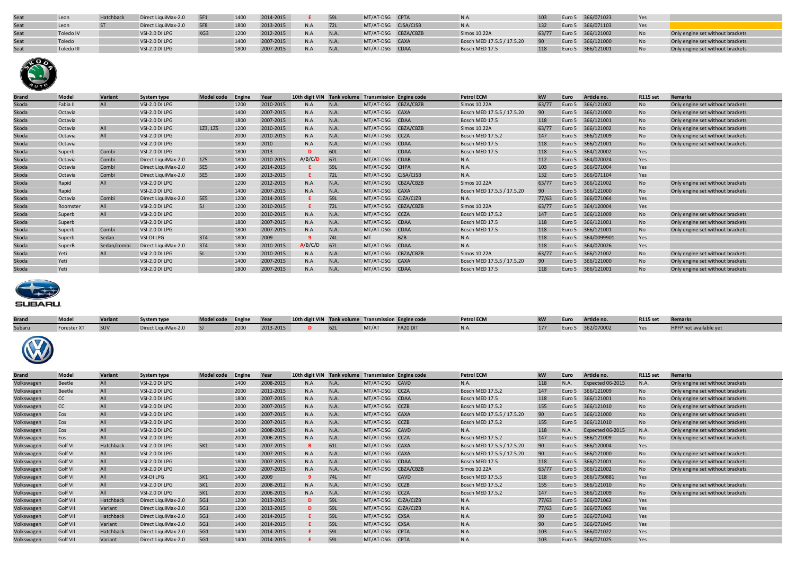| Seat | Leon       | <b>Hatchback</b> | Direct LiquiMax-2.0 | 5F1 | 1400 | 2014-2015            |      |     | MT/AT-DSG CPTA      |                            |       | Euro 5 366/071023 | Yes        |                                  |
|------|------------|------------------|---------------------|-----|------|----------------------|------|-----|---------------------|----------------------------|-------|-------------------|------------|----------------------------------|
| Seat | Leon       |                  | Direct LiquiMax-2.0 | 5F8 | 1800 | $^{\circ}013 - 2015$ | N.A. | 72L | MT/AT-DSG CJSA/CJSB | N.A.                       |       | Euro 5 366/071103 | <b>Yes</b> |                                  |
| Seat | Toledo IV  |                  | VSI-2.0 DI LPG      | KG3 | 1200 | $912 - 2015$         | N.A. | N.A | MT/AT-DSG CBZA/CBZB | Simos 10.22A               | 63/77 | Euro 5 366/121002 |            | Only engine set without brackets |
| Seat | Toledo     |                  | VSI-2.0 DI LPG      |     | 1400 | 007-2015             | N.A. | N.A | MT/AT-DSG CAXA      | Bosch MED 17.5.5 / 17.5.20 |       | Euro 5 366/121000 |            | Only engine set without brackets |
| Seat | Toledo III |                  | VSI-2.0 DI LPG      |     | 1800 | 2007-2015            | N.A. | N.A | MT/AT-DSG CDAA      | Bosch MED 17.5             | 118   | Euro 5 366/121001 |            | Only engine set without brackets |



| <b>Brand</b> | Model    | Variant     | <b>System type</b>  | <b>Model code</b> | Engine | Year      | 10th digit VIN Tank volume Transmission Engine code |      |                     |                     | <b>Petrol ECM</b>          | kW    | Euro   | Article no. | <b>R115 set</b> | <b>Remarks</b>                   |
|--------------|----------|-------------|---------------------|-------------------|--------|-----------|-----------------------------------------------------|------|---------------------|---------------------|----------------------------|-------|--------|-------------|-----------------|----------------------------------|
| Skoda        | Fabia II | All         | VSI-2.0 DI LPG      |                   | 1200   | 2010-2015 | N.A.                                                | N.A. |                     | MT/AT-DSG CBZA/CBZB | Simos 10.22A               | 63/77 | Euro 5 | 366/121002  | <b>No</b>       | Only engine set without brackets |
| Skoda        | Octavia  |             | VSI-2.0 DI LPG      |                   | 1400   | 2007-2015 | N.A.                                                | N.A. | MT/AT-DSG CAXA      |                     | Bosch MED 17.5.5 / 17.5.20 | 90    | Euro 5 | 366/121000  | N <sub>o</sub>  | Only engine set without brackets |
| Skoda        | Octavia  |             | VSI-2.0 DI LPG      |                   | 1800   | 2007-2015 | N.A.                                                | N.A. | MT/AT-DSG CDAA      |                     | Bosch MED 17.5             | 118   | Euro 5 | 366/121001  | <b>No</b>       | Only engine set without brackets |
| Skoda        | Octavia  | All         | VSI-2.0 DI LPG      | 1Z3, 1Z5          | 1200   | 2010-2015 | N.A.                                                | N.A. | MT/AT-DSG           | CBZA/CBZB           | Simos 10.22A               | 63/77 | Euro 5 | 366/121002  | <b>No</b>       | Only engine set without brackets |
| Skoda        | Octavia  | All         | VSI-2.0 DI LPG      |                   | 2000   | 2010-2015 | N.A.                                                | N.A. | MT/AT-DSG CCZA      |                     | Bosch MED 17.5.2           | 147   | Euro 5 | 366/121009  | <b>No</b>       | Only engine set without brackets |
| Skoda        | Octavia  |             | VSI-2.0 DI LPG      |                   | 1800   | 2010      | N.A.                                                | N.A. | MT/AT-DSG           | <b>CDAA</b>         | Bosch MED 17.5             | 118   | Euro 5 | 366/121001  | <b>No</b>       | Only engine set without brackets |
| Skoda        | Superb   | Combi       | VSI-2.0 DI LPG      |                   | 1800   | 2013      | D                                                   | 60L  | <b>MT</b>           | <b>CDAA</b>         | Bosch MED 17.5             | 118   | Euro 5 | 364/120002  | Yes             |                                  |
| Skoda        | Octavia  | Combi       | Direct LiquiMax-2.0 | 1Z5               | 1800   | 2010-2015 | A/B/C/D                                             | 67L  | MT/AT-DSG           | <b>CDAB</b>         | N.A.                       | 112   | Euro 5 | 364/070024  | Yes             |                                  |
| Skoda        | Octavia  | Combi       | Direct LiquiMax-2.0 | <b>5E5</b>        | 1400   | 2014-2015 |                                                     | 59L  | MT/AT-DSG CHPA      |                     | N.A.                       | 103   | Euro 5 | 366/071004  | Yes             |                                  |
| Skoda        | Octavia  | Combi       | Direct LiquiMax-2.0 | <b>5E5</b>        | 1800   | 2013-2015 | F.                                                  | 72L  | MT/AT-DSG           | CJSA/CJSB           | N.A.                       | 132   | Euro 5 | 366/071104  | Yes             |                                  |
| Skoda        | Rapid    | All         | VSI-2.0 DI LPG      |                   | 1200   | 2012-2015 | N.A.                                                | N.A. | MT/AT-DSG CBZA/CBZB |                     | Simos 10.22A               | 63/77 | Euro 5 | 366/121002  | <b>No</b>       | Only engine set without brackets |
| Skoda        | Rapid    |             | VSI-2.0 DI LPG      |                   | 1400   | 2007-2015 | N.A.                                                | N.A. | MT/AT-DSG CAXA      |                     | Bosch MED 17.5.5 / 17.5.20 | 90    | Euro 5 | 366/121000  | <b>No</b>       | Only engine set without brackets |
| Skoda        | Octavia  | Combi       | Direct LiquiMax-2.0 | <b>5E5</b>        | 1200   | 2014-2015 |                                                     | 59L  | MT/AT-DSG           | CJZA/CJZB           | N.A.                       | 77/63 | Euro 5 | 366/071064  | Yes             |                                  |
| Skoda        | Roomster | All         | VSI-2.0 DI LPG      | 5J                | 1200   | 2010-2015 | E.                                                  | 72L  | MT/AT-DSG CBZA/CBZB |                     | Simos 10.22A               | 63/77 | Euro 5 | 364/120004  | Yes             |                                  |
| Skoda        | Superb   | All         | VSI-2.0 DI LPG      |                   | 2000   | 2010-2015 | N.A.                                                | N.A. | MT/AT-DSG CCZA      |                     | <b>Bosch MED 17.5.2</b>    | 147   | Euro 5 | 366/121009  | <b>No</b>       | Only engine set without brackets |
| Skoda        | Superb   |             | VSI-2.0 DI LPG      |                   | 1800   | 2007-2015 | N.A.                                                | N.A. | MT/AT-DSG           | <b>CDAA</b>         | Bosch MED 17.5             | 118   | Euro 5 | 366/121001  | <b>No</b>       | Only engine set without brackets |
| Skoda        | Superb   | Combi       | VSI-2.0 DI LPG      |                   | 1800   | 2007-2015 | N.A.                                                | N.A. | MT/AT-DSG           | <b>CDAA</b>         | Bosch MED 17.5             | 118   | Euro 5 | 366/121001  | <b>No</b>       | Only engine set without brackets |
| Skoda        | Superb   | Sedan       | VSI-DI LPG          | 3T4               | 1800   | 2009      |                                                     | 74L  | <b>MT</b>           | <b>BZB</b>          | N.A.                       | 118   | Euro 5 | 364/0099901 | Yes             |                                  |
| Skoda        | SuperB   | Sedan/combi | Direct LiquiMax-2.0 | 3T4               | 1800   | 2010-2015 | A/B/C/D                                             | 67L  | MT/AT-DSG           | <b>CDAA</b>         | N.A.                       | 118   | Euro 5 | 364/070026  | Yes             |                                  |
| Skoda        | Yeti     | All         | VSI-2.0 DI LPG      | 5L                | 1200   | 2010-2015 | N.A.                                                | N.A. | MT/AT-DSG           | CBZA/CBZB           | Simos 10.22A               | 63/7  | Euro 5 | 366/121002  | <b>No</b>       | Only engine set without brackets |
| Skoda        | Yeti     |             | VSI-2.0 DI LPG      |                   | 1400   | 2007-2015 | N.A.                                                | N.A. | MT/AT-DSG CAXA      |                     | Bosch MED 17.5.5 / 17.5.20 | 90    | Euro 5 | 366/121000  | N <sub>o</sub>  | Only engine set without brackets |
| Skoda        | Yeti     |             | VSI-2.0 DI LPG      |                   | 1800   | 2007-2015 | <b>N.A.</b>                                         | N.A. | MT/AT-DSG CDAA      |                     | Bosch MED 17.5             | 118   | Euro 5 | 366/121001  | <b>No</b>       | Only engine set without brackets |



| <b>Brand</b> | <b>Model</b>    | Variant   | <b>System type</b>  | <b>Model code</b> | Engine | Year      | 10th digit VIN Tank volume Transmission Engine code |      |                     |           | <b>Petrol ECM</b>          | kW    | Euro   | Article no.      | <b>R115 set</b> | <b>Remarks</b>                   |
|--------------|-----------------|-----------|---------------------|-------------------|--------|-----------|-----------------------------------------------------|------|---------------------|-----------|----------------------------|-------|--------|------------------|-----------------|----------------------------------|
| Subaru       | Forester XT     | SUV       | Direct LiquiMax-2.0 | SI                | 2000   | 2013-2015 | D.                                                  | 62L  | MT/AT               | FA20 DIT  | N.A.                       | 177   | Euro 5 | 362/070002       | Yes             | HPFP not available yet           |
|              |                 |           |                     |                   |        |           |                                                     |      |                     |           |                            |       |        |                  |                 |                                  |
| <b>Brand</b> | Model           | Variant   | <b>System type</b>  | <b>Model code</b> | Engine | Year      | 10th digit VIN Tank volume Transmission Engine code |      |                     |           | <b>Petrol ECM</b>          | kW    | Euro   | Article no.      | <b>R115 set</b> | <b>Remarks</b>                   |
| Volkswagen   | Beetle          | All       | VSI-2.0 DI LPG      |                   | 1400   | 2008-2015 | N.A.                                                | N.A. | MT/AT-DSG CAVD      |           | N.A.                       | 118   | N.A.   | Expected 06-2015 | N.A.            | Only engine set without brackets |
| Volkswagen   | Beetle          | All       | VSI-2.0 DI LPG      |                   | 2000   | 2011-2015 | N.A.                                                | N.A. | MT/AT-DSG CCZA      |           | <b>Bosch MED 17.5.2</b>    | 147   | Euro 5 | 366/121009       | No              | Only engine set without brackets |
| Volkswagen   | cc              | All       | VSI-2.0 DI LPG      |                   | 1800   | 2007-2015 | N.A.                                                | N.A. | MT/AT-DSG CDAA      |           | Bosch MED 17.5             | 118   | Euro 5 | 366/121001       | No              | Only engine set without brackets |
| Volkswagen   | cc              | All       | VSI-2.0 DI LPG      |                   | 2000   | 2007-2015 | N.A.                                                | N.A. | MT/AT-DSG CCZB      |           | <b>Bosch MED 17.5.2</b>    | 155   | Euro 5 | 366/121010       | <b>No</b>       | Only engine set without brackets |
| Volkswagen   | Eos             | All       | VSI-2.0 DI LPG      |                   | 1400   | 2007-2015 | N.A.                                                | N.A. | MT/AT-DSG CAXA      |           | Bosch MED 17.5.5 / 17.5.20 | 90    | Euro 5 | 366/121000       | N <sub>o</sub>  | Only engine set without brackets |
| Volkswagen   | Eos             | All       | VSI-2.0 DI LPG      |                   | 2000   | 2007-2015 | N.A.                                                | N.A. | MT/AT-DSG CCZB      |           | <b>Bosch MED 17.5.2</b>    | 155   | Euro 5 | 366/121010       | <b>No</b>       | Only engine set without brackets |
| Volkswagen   | Eos             | All       | VSI-2.0 DI LPG      |                   | 1400   | 2008-2015 | N.A.                                                | N.A. | MT/AT-DSG CAVD      |           | N.A.                       | 118   | N.A.   | Expected 06-2015 | N.A.            | Only engine set without brackets |
| Volkswagen   | Eos             | All       | VSI-2.0 DI LPG      |                   | 2000   | 2006-2015 | N.A.                                                | N.A. | MT/AT-DSG CCZA      |           | Bosch MED 17.5.2           | 147   | Euro 5 | 366/121009       | <b>No</b>       | Only engine set without brackets |
| Volkswagen   | Golf VI         | Hatchback | VSI-2.0 DI LPG      | 5K1               | 1400   | 2007-2015 | <b>B</b>                                            | 61L  | MT/AT-DSG CAXA      |           | Bosch MED 17.5.5 / 17.5.20 | 90    | Euro 5 | 366/120004       | Yes             |                                  |
| Volkswagen   | Golf VI         | All       | VSI-2.0 DI LPG      |                   | 1400   | 2007-2015 | N.A.                                                | N.A. | MT/AT-DSG CAXA      |           | Bosch MED 17.5.5 / 17.5.20 | 90    | Euro 5 | 366/121000       | No              | Only engine set without brackets |
| Volkswagen   | Golf VI         | All       | VSI-2.0 DI LPG      |                   | 1800   | 2007-2015 | N.A.                                                | N.A. | MT/AT-DSG CDAA      |           | Bosch MED 17.5             | 118   | Euro 5 | 366/121001       | <b>No</b>       | Only engine set without brackets |
| Volkswagen   | Golf VI         | All       | VSI-2.0 DI LPG      |                   | 1200   | 2007-2015 | N.A.                                                | N.A. | MT/AT-DSG CBZA/CBZB |           | Simos 10.22A               | 63/77 | Euro 5 | 366/121002       | <b>No</b>       | Only engine set without brackets |
| Volkswagen   | Golf VI         | All       | VSI-DI LPG          | 5K1               | 1400   | 2009      | -9                                                  | 74L  | <b>MT</b>           | CAVD      | Bosch MED 17.5.5           | 118   | Euro 5 | 366/1750881      | Yes             |                                  |
| Volkswagen   | Golf VI         | All       | VSI-2.0 DI LPG      | 5K1               | 2000   | 2008-2012 | N.A.                                                | N.A. | MT/AT-DSG CCZB      |           | <b>Bosch MED 17.5.2</b>    | 155   | Euro 5 | 366/121010       | N <sub>o</sub>  | Only engine set without brackets |
| Volkswagen   | Golf VI         | All       | VSI-2.0 DI LPG      | 5K1               | 2000   | 2006-2015 | N.A.                                                | N.A. | MT/AT-DSG CCZA      |           | <b>Bosch MED 17.5.2</b>    | 147   | Euro 5 | 366/121009       | <b>No</b>       | Only engine set without brackets |
| Volkswagen   | Golf VII        | Hatchback | Direct LiquiMax-2.0 | 5G1               | 1200   | 2013-2015 | D                                                   | 59L  | MT/AT-DSG CJZA/CJZB |           | N.A.                       | 77/63 | Euro 5 | 366/071062       | Yes             |                                  |
| Volkswagen   | Golf VII        | Variant   | Direct LiquiMax-2.0 | 5G1               | 1200   | 2013-2015 | D                                                   | 59L  | MT/AT-DSG           | CJZA/CJZB | N.A.                       | 77/63 | Euro 5 | 366/071065       | Yes             |                                  |
| Volkswagen   | Golf VII        | Hatchback | Direct LiquiMax-2.0 | 5G1               | 1400   | 2014-2015 |                                                     | 59L  | MT/AT-DSG CXSA      |           | N.A.                       | 90    | Euro 5 | 366/071042       | Yes             |                                  |
| Volkswagen   | <b>Golf VII</b> | Variant   | Direct LiquiMax-2.0 | 5G1               | 1400   | 2014-2015 |                                                     | 59L  | MT/AT-DSG CXSA      |           | N.A.                       | 90    | Euro 5 | 366/071045       | Yes             |                                  |
| Volkswagen   | Golf VII        | Hatchback | Direct LiquiMax-2.0 | 5G1               | 1400   | 2014-2015 |                                                     | 59L  | MT/AT-DSG CPTA      |           | N.A.                       | 103   | Euro 5 | 366/071022       | Yes             |                                  |

Volkswagen Golf VII Variant Direct LiquiMax-2.0 5G1 1400 2014-2015 **E** 59L MT/AT-DSG CPTA N.A. 103 Euro 5 366/071025 Yes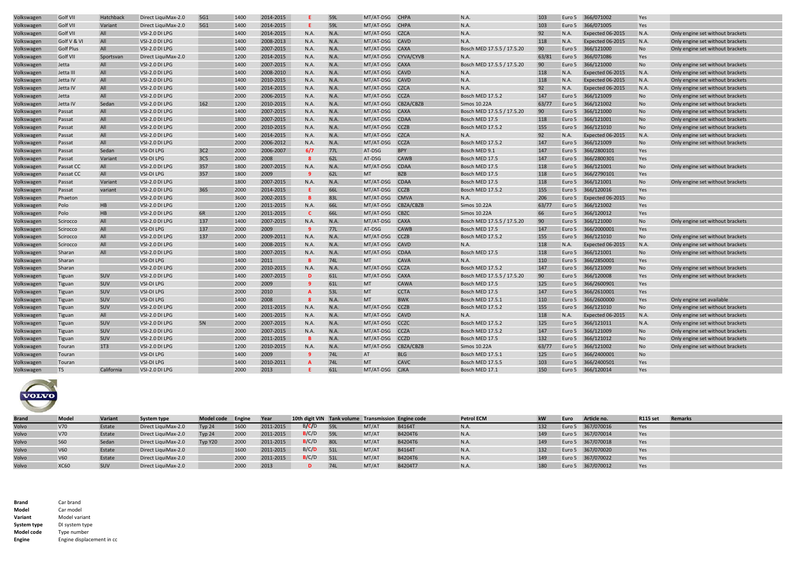| Volkswagen | Golf VII         | Hatchback       | Direct LiquiMax-2.0 | 5G1             | 1400 | 2014-2015 | E.           | 59L        | MT/AT-DSG CHPA |                     | N.A.                       | 103   | Euro 5 | 366/071002       | Yes            |                                  |
|------------|------------------|-----------------|---------------------|-----------------|------|-----------|--------------|------------|----------------|---------------------|----------------------------|-------|--------|------------------|----------------|----------------------------------|
| Volkswagen | Golf VII         | Variant         | Direct LiquiMax-2.0 | 5G1             | 1400 | 2014-2015 | F.           | 59L        | MT/AT-DSG CHPA |                     | N.A                        | 103   | Euro 5 | 366/071005       | Yes            |                                  |
| Volkswagen | Golf VII         | All             | VSI-2.0 DI LPG      |                 | 1400 | 2014-2015 | N.A.         | N.A.       | MT/AT-DSG CZCA |                     | N.A.                       | 92    | N.A.   | Expected 06-2015 | N.A.           | Only engine set without brackets |
| Volkswagen | Golf V & VI      | All             | VSI-2.0 DI LPG      |                 | 1400 | 2008-2013 | N.A.         | N.A.       | MT/AT-DSG      | CAVD                | N.A.                       | 118   | N.A.   | Expected 06-2015 | N.A.           | Only engine set without brackets |
| Volkswagen | <b>Golf Plus</b> | All             | VSI-2.0 DI LPG      |                 | 1400 | 2007-2015 | N.A.         | N.A.       | MT/AT-DSG CAXA |                     | Bosch MED 17.5.5 / 17.5.20 | 90    | Euro 5 | 366/121000       | N <sub>o</sub> | Only engine set without brackets |
| Volkswagen | <b>Golf VII</b>  | Sportsvan       | Direct LiquiMax-2.0 |                 | 1200 | 2014-2015 | <b>N.A.</b>  | N.A.       |                | MT/AT-DSG CYVA/CYVB | N.A.                       | 63/81 | Euro 5 | 366/071086       | Yes            |                                  |
| Volkswagen | Jetta            | All             | VSI-2.0 DI LPG      |                 | 1400 | 2007-2015 | N.A.         | N.A.       | MT/AT-DSG CAXA |                     | Bosch MED 17.5.5 / 17.5.20 | 90    | Euro 5 | 366/121000       | <b>No</b>      | Only engine set without brackets |
| Volkswagen | Jetta III        | All             | VSI-2.0 DI LPG      |                 | 1400 | 2008-2010 | N.A.         | N.A.       | MT/AT-DSG CAVD |                     | N.A.                       | 118   | N.A.   | Expected 06-2015 | N.A.           | Only engine set without brackets |
| Volkswagen | Jetta IV         | All             | VSI-2.0 DI LPG      |                 | 1400 | 2010-2015 | N.A.         | N.A.       | MT/AT-DSG CAVD |                     | N.A                        | 118   | N.A.   | Expected 06-2015 | N.A.           | Only engine set without brackets |
| Volkswagen | Jetta IV         | All             | VSI-2.0 DI LPG      |                 | 1400 | 2014-2015 | <b>N.A.</b>  | N.A.       | MT/AT-DSG CZCA |                     | N.A.                       | 92    | N.A.   | Expected 06-2015 | N.A.           | Only engine set without brackets |
| Volkswagen | Jetta            | All             | VSI-2.0 DI LPG      |                 | 2000 | 2006-2015 | N.A.         | N.A.       | MT/AT-DSG CCZA |                     | <b>Bosch MED 17.5.2</b>    | 147   | Euro 5 | 366/121009       | No             | Only engine set without brackets |
| Volkswagen | Jetta IV         | Sedan           | VSI-2.0 DI LPG      | 162             | 1200 | 2010-2015 | N.A.         | N.A.       | MT/AT-DSG      | CBZA/CBZB           | <b>Simos 10.22A</b>        | 63/77 | Euro 5 | 366/121002       | No             | Only engine set without brackets |
| Volkswagen | Passat           | All             | VSI-2.0 DI LPG      |                 | 1400 | 2007-2015 | N.A.         | N.A.       | MT/AT-DSG CAXA |                     | Bosch MED 17.5.5 / 17.5.20 | 90    | Euro 5 | 366/121000       | No             | Only engine set without brackets |
| Volkswagen | Passat           | All             | VSI-2.0 DI LPG      |                 | 1800 | 2007-2015 | N.A.         | N.A.       | MT/AT-DSG      | <b>CDAA</b>         | Bosch MED 17.5             | 118   | Euro 5 | 366/121001       | <b>No</b>      | Only engine set without brackets |
| Volkswagen | Passat           | All             | VSI-2.0 DI LPG      |                 | 2000 | 2010-2015 | N.A.         | N.A.       | MT/AT-DSG      | <b>CCZB</b>         | Bosch MED 17.5.2           | 155   | Euro 5 | 366/121010       | No             | Only engine set without brackets |
| Volkswagen | Passat           | All             | VSI-2.0 DI LPG      |                 | 1400 | 2014-2015 | N.A.         | N.A.       | MT/AT-DSG CZCA |                     | N.A.                       | 92    | N.A.   | Expected 06-2015 | N.A.           | Only engine set without brackets |
| Volkswagen | Passat           | All             | VSI-2.0 DI LPG      |                 | 2000 | 2006-2012 | N.A.         | N.A.       | MT/AT-DSG CCZA |                     | <b>Bosch MED 17.5.2</b>    | 147   | Euro 5 | 366/121009       | No             | Only engine set without brackets |
| Volkswagen | Passat           | Sedan           | VSI-DI LPG          | 3C <sub>2</sub> | 2000 | 2006-2007 | 6/7          | 77L        | AT-DSG         | <b>BPY</b>          | Bosch MED 9.1              | 147   | Furo 5 | 366/2800101      | Yes            |                                  |
| Volkswagen | Passat           | Variant         | VSI-DI LPG          | 3C <sub>5</sub> | 2000 | 2008      | $\mathbf{R}$ | 62L        | AT-DSG         | CAWB                | Bosch MED 17.5             | 147   | Euro 5 | 366/2800301      | Yes            |                                  |
| Volkswagen | Passat CC        | All             | VSI-2.0 DI LPG      | 357             | 1800 | 2007-2015 | N.A.         | N.A.       | MT/AT-DSG      | <b>CDAA</b>         | Bosch MED 17.5             | 118   | Euro 5 | 366/121001       | <b>No</b>      | Only engine set without brackets |
| Volkswagen | Passat CC        | All             | VSI-DI LPG          | 357             | 1800 | 2009      |              | 62L        | <b>MT</b>      | <b>BZB</b>          | Bosch MED 17.5             | 118   | Euro 5 | 366/2790101      | Yes            |                                  |
| Volkswagen | Passat           | Variant         | VSI-2.0 DI LPG      |                 | 1800 | 2007-2015 | N.A.         | N.A.       | MT/AT-DSG      | <b>CDAA</b>         | Bosch MED 17.5             | 118   | Euro 5 | 366/121001       | <b>No</b>      | Only engine set without brackets |
| Volkswagen | Passat           | variant         | VSI-2.0 DI LPG      | 365             | 2000 | 2014-2015 | Е            | 66L        | MT/AT-DSG      | CCZB                | Bosch MED 17.5.2           | 155   | Euro 5 | 366/120016       | Yes            |                                  |
| Volkswagen | Phaeton          |                 | VSI-2.0 DI LPG      |                 | 3600 | 2002-2015 |              | 83L        | MT/AT-DSG      | <b>CMVA</b>         | N.A.                       | 206   | Euro 5 | Expected 06-2015 | No             |                                  |
| Volkswagen | Polo             | HB              | VSI-2.0 DI LPG      |                 | 1200 | 2011-2015 | N.A.         | 66L        | MT/AT-DSG      | CBZA/CBZB           | <b>Simos 10.22A</b>        | 63/77 | Euro 5 | 366/121002       | Yes            |                                  |
| Volkswagen | Polo             | HB              | VSI-2.0 DI LPG      | 6R              | 1200 | 2011-2015 | C            | 66L        | MT/AT-DSG      | <b>CBZC</b>         | <b>Simos 10.22A</b>        | 66    | Euro 5 | 366/120012       | Yes            |                                  |
| Volkswagen | Scirocco         | All             | VSI-2.0 DI LPG      | 137             | 1400 | 2007-2015 | N.A.         | N.A.       | MT/AT-DSG CAXA |                     | Bosch MED 17.5.5 / 17.5.20 | 90    | Euro 5 | 366/121000       | No             | Only engine set without brackets |
| Volkswagen | Scirocco         | All             | VSI-DI LPG          | 137             | 2000 | 2009      |              | 77L        | AT-DSG         | CAWB                | Bosch MED 17.5             | 147   | Euro 5 | 366/2000001      | Yes            |                                  |
| Volkswagen | Scirocco         | All             | VSI-2.0 DI LPG      | 137             | 2000 | 2009-2011 | N.A.         | N.A.       | MT/AT-DSG CCZB |                     | <b>Bosch MED 17.5.2</b>    | 155   | Euro 5 | 366/121010       | No             | Only engine set without brackets |
| Volkswagen | Scirocco         | All             | VSI-2.0 DI LPG      |                 | 1400 | 2008-2015 | N.A.         | N.A.       | MT/AT-DSG      | CAVD                | N.A.                       | 118   | N.A.   | Expected 06-2015 | N.A.           | Only engine set without brackets |
| Volkswagen | Sharan           | All             | VSI-2.0 DI LPG      |                 | 1800 | 2007-2015 | N.A.         | N.A.       | MT/AT-DSG      | <b>CDAA</b>         | Bosch MED 17.5             | 118   | Euro 5 | 366/121001       | No             | Only engine set without brackets |
| Volkswagen | Sharan           |                 | VSI-DI LPG          |                 | 1400 | 2011      |              | 74L        | <b>MT</b>      | CAVA                | <b>N.A.</b>                | 110   | Euro 5 | 366/2850001      | Yes            |                                  |
| Volkswagen | Sharan           |                 | VSI-2.0 DI LPG      |                 | 2000 | 2010-2015 | N.A.         | N.A.       | MT/AT-DSG CCZA |                     | <b>Bosch MED 17.5.2</b>    | 147   | Euro 5 | 366/121009       | <b>No</b>      | Only engine set without brackets |
| Volkswagen | Tiguan           | SUV             | VSI-2.0 DI LPG      |                 | 1400 | 2007-2015 | D            | 61L        | MT/AT-DSG      | CAXA                | Bosch MED 17.5.5 / 17.5.20 | 90    | Euro 5 | 366/120008       | Yes            | Only engine set without brackets |
| Volkswagen | Tiguan           | SUV             | VSI-DI LPG          |                 | 2000 | 2009      |              | 61L        | MT             | CAWA                | Bosch MED 17.5             | 125   | Euro 5 | 366/2600901      | Yes            |                                  |
| Volkswagen | Tiguan           | <b>SUV</b>      | <b>VSI-DI LPG</b>   |                 | 2000 | 2010      |              | 53L        | <b>MT</b>      | <b>CCTA</b>         | Bosch MED 17.5             | 147   | Euro 5 | 366/2610001      | Yes            |                                  |
| Volkswagen | Tiguan           | <b>SUV</b>      | <b>VSI-DI LPG</b>   |                 | 1400 | 2008      |              | N.A.       | <b>MT</b>      | <b>BWK</b>          | Bosch MED 17.5.1           | 110   | Euro 5 | 366/2600000      | Yes            | Only engine set available        |
| Volkswagen | Tiguan           | SUV             | VSI-2.0 DI LPG      |                 | 2000 | 2011-2015 | <b>N.A.</b>  | N.A.       | MT/AT-DSG      | CCZB                | <b>Bosch MED 17.5.2</b>    | 155   | Euro 5 | 366/121010       | <b>No</b>      | Only engine set without brackets |
| Volkswagen | Tiguan           | All             | VSI-2.0 DI LPG      |                 | 1400 | 2001-2015 | N.A.         | N.A.       | MT/AT-DSG      | CAVD                | N.A.                       | 118   | N.A.   | Expected 06-2015 | N.A.           | Only engine set without brackets |
| Volkswagen | Tiguan           | SUV             | VSI-2.0 DI LPG      | 5N              | 2000 | 2007-2015 | N.A.         | N.A.       | MT/AT-DSG CCZC |                     | <b>Bosch MED 17.5.2</b>    | 125   | Euro 5 | 366/121011       | N.A.           | Only engine set without brackets |
| Volkswagen | Tiguan           | SUV             | VSI-2.0 DI LPG      |                 | 2000 | 2007-2015 | N.A.         | N.A.       | MT/AT-DSG CCZA |                     | <b>Bosch MED 17.5.2</b>    | 147   | Euro 5 | 366/121009       | No             | Only engine set without brackets |
| Volkswagen | Tiguan           | SUV             | VSI-2.0 DI LPG      |                 | 2000 | 2011-2015 |              | N.A.       | MT/AT-DSG      | CCZD                | Bosch MED 17.5             | 132   | Euro 5 | 366/121012       | No             | Only engine set without brackets |
| Volkswagen | Touran           | 1T <sub>3</sub> | VSI-2.0 DI LPG      |                 | 1200 | 2010-2015 | N.A.         | N.A.       | MT/AT-DSG      | CBZA/CBZB           | Simos 10.22A               | 63/77 | Euro 5 | 366/121002       | No             | Only engine set without brackets |
| Volkswagen | Touran           |                 | VSI-DI LPG          |                 | 1400 | 2009      |              | <b>74L</b> | AT             | <b>BLG</b>          | Bosch MED 17.5.1           | 125   | Euro 5 | 366/2400001      | <b>No</b>      |                                  |
| Volkswagen | Touran           |                 | VSI-DI LPG          |                 | 1400 | 2010-2011 |              | 74L        | <b>MT</b>      | CAVC                | <b>Bosch MED 17.5.5</b>    | 103   | Euro 5 | 366/2400501      | Yes            |                                  |
| Volkswagen | <b>T5</b>        | California      | VSI-2.0 DI LPG      |                 | 2000 | 2013      |              | 61L        | MT/AT-DSG      | <b>CIKA</b>         | Bosch MED 17.1             | 150   | Furo 5 | 366/120014       | Yes            |                                  |



| <b>Brand</b> | <b>Model</b> | Variant | <b>System type</b>  | Model code Engine |      | Year      | 10th digit VIN Tank volume Transmission Engine code |            |       |               | <b>Petrol ECM</b> |     | Euro | Article no.       | <b>R115 set</b> | <b>Remarks</b> |
|--------------|--------------|---------|---------------------|-------------------|------|-----------|-----------------------------------------------------|------------|-------|---------------|-------------------|-----|------|-------------------|-----------------|----------------|
| Volvo        | V70          | Estate  | Direct LiquiMax-2.0 | Typ 24            | 1600 | 2011-2015 | B/C/D                                               | 591        | MT/AT | <b>B4164T</b> | N.A.              |     |      | Euro 5 367/070016 | Yes             |                |
| Volvo        | V70          | Estate  | Direct LiquiMax-2.0 | Typ 24            | 2000 | 2011-2015 | B/C/D                                               | 59L        | MT/AT | B4204T6       | N.A.              |     |      | Euro 5 367/070014 | Yes             |                |
| Volvo        | S60          | Sedan   | Direct LiquiMax-2.0 | Typ Y20           | 2000 | 2011-2015 | B/C/D                                               | 80L        | MT/AT | B4204T6       | N.A.              | 149 |      | Euro 5 367/070018 | Yes             |                |
| Volvo        | V60          | Estate  | Direct LiquiMax-2.0 |                   | 1600 | 2011-2015 | B/C/D                                               | 51L        | MT/AT | B4164T        | N.A.              |     |      | Euro 5 367/070020 | Yes             |                |
| Volvo        | V60          | Estate  | Direct LiquiMax-2.0 |                   | 2000 | 2011-2015 | B/C/D                                               | 51L        | MT/AT | B4204T6       | N.A.              | 149 |      | Euro 5 367/070022 | Yes             |                |
| Volvo        | <b>XC60</b>  | SUV     | Direct LiquiMax-2.0 |                   | 2000 | 2013      |                                                     | <b>74L</b> | MT/AT | B4204T7       | N.A.              |     |      | Euro 5 367/070012 | <b>Yes</b>      |                |